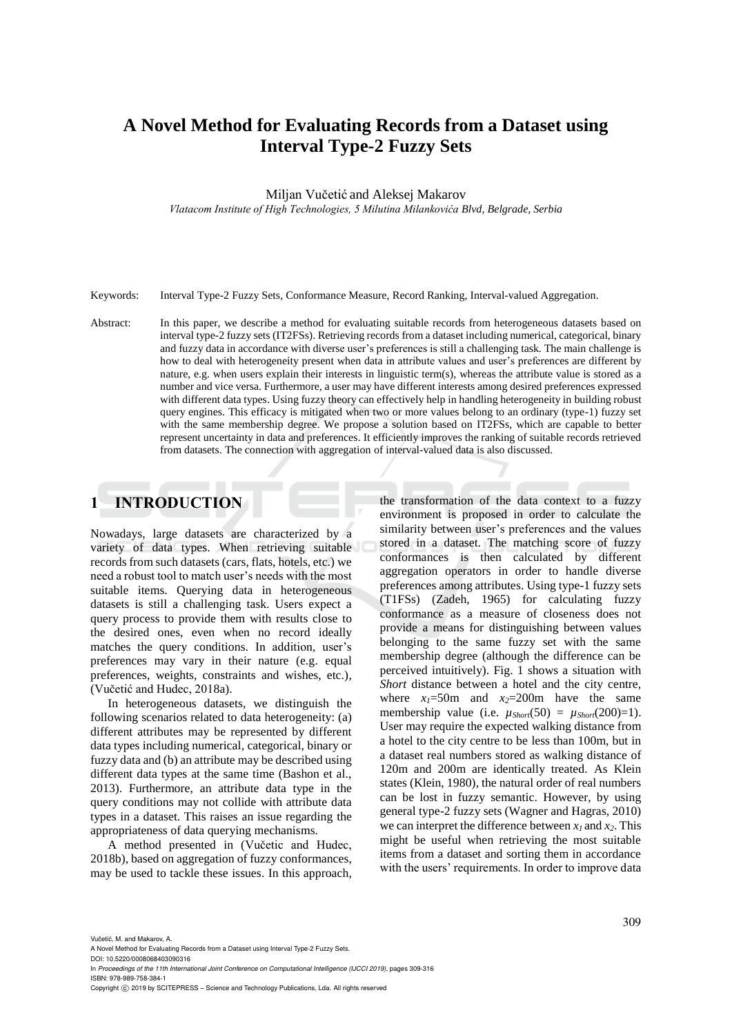# **A Novel Method for Evaluating Records from a Dataset using Interval Type-2 Fuzzy Sets**

Miljan Vučetić and Aleksej Makarov

*Vlatacom Institute of High Technologies, 5 Milutina Milankovića Blvd, Belgrade, Serbia*

Keywords: Interval Type-2 Fuzzy Sets, Conformance Measure, Record Ranking, Interval-valued Aggregation.

Abstract: In this paper, we describe a method for evaluating suitable records from heterogeneous datasets based on interval type-2 fuzzy sets (IT2FSs). Retrieving records from a dataset including numerical, categorical, binary and fuzzy data in accordance with diverse user's preferences is still a challenging task. The main challenge is how to deal with heterogeneity present when data in attribute values and user's preferences are different by nature, e.g. when users explain their interests in linguistic term(s), whereas the attribute value is stored as a number and vice versa. Furthermore, a user may have different interests among desired preferences expressed with different data types. Using fuzzy theory can effectively help in handling heterogeneity in building robust query engines. This efficacy is mitigated when two or more values belong to an ordinary (type-1) fuzzy set with the same membership degree. We propose a solution based on IT2FSs, which are capable to better represent uncertainty in data and preferences. It efficiently improves the ranking of suitable records retrieved from datasets. The connection with aggregation of interval-valued data is also discussed.

### **1 INTRODUCTION**

Nowadays, large datasets are characterized by a variety of data types. When retrieving suitable records from such datasets (cars, flats, hotels, etc.) we need a robust tool to match user's needs with the most suitable items. Querying data in heterogeneous datasets is still a challenging task. Users expect a query process to provide them with results close to the desired ones, even when no record ideally matches the query conditions. In addition, user's preferences may vary in their nature (e.g. equal preferences, weights, constraints and wishes, etc.), (Vučetić and Hudec, 2018a).

In heterogeneous datasets, we distinguish the following scenarios related to data heterogeneity: (a) different attributes may be represented by different data types including numerical, categorical, binary or fuzzy data and (b) an attribute may be described using different data types at the same time (Bashon et al., 2013). Furthermore, an attribute data type in the query conditions may not collide with attribute data types in a dataset. This raises an issue regarding the appropriateness of data querying mechanisms.

A method presented in (Vučetic and Hudec, 2018b), based on aggregation of fuzzy conformances, may be used to tackle these issues. In this approach,

the transformation of the data context to a fuzzy environment is proposed in order to calculate the similarity between user's preferences and the values stored in a dataset. The matching score of fuzzy conformances is then calculated by different aggregation operators in order to handle diverse preferences among attributes. Using type-1 fuzzy sets (T1FSs) (Zadeh, 1965) for calculating fuzzy conformance as a measure of closeness does not provide a means for distinguishing between values belonging to the same fuzzy set with the same membership degree (although the difference can be perceived intuitively). Fig. 1 shows a situation with *Short* distance between a hotel and the city centre, where  $x_1 = 50$ m and  $x_2 = 200$ m have the same membership value (i.e.  $\mu_{Short}(50) = \mu_{Short}(200)=1$ ). User may require the expected walking distance from a hotel to the city centre to be less than 100m, but in a dataset real numbers stored as walking distance of 120m and 200m are identically treated. As Klein states (Klein, 1980), the natural order of real numbers can be lost in fuzzy semantic. However, by using general type-2 fuzzy sets (Wagner and Hagras, 2010) we can interpret the difference between  $x_1$  and  $x_2$ . This might be useful when retrieving the most suitable items from a dataset and sorting them in accordance with the users' requirements. In order to improve data

Vučetić, M. and Makarov, A.

A Novel Method for Evaluating Records from a Dataset using Interval Type-2 Fuzzy Sets.

DOI: 10.5220/0008068403090316 In *Proceedings of the 11th International Joint Conference on Computational Intelligence (IJCCI 2019)*, pages 309-316

ISBN: 978-989-758-384-1 Copyright (C) 2019 by SCITEPRESS - Science and Technology Publications, Lda. All rights reserved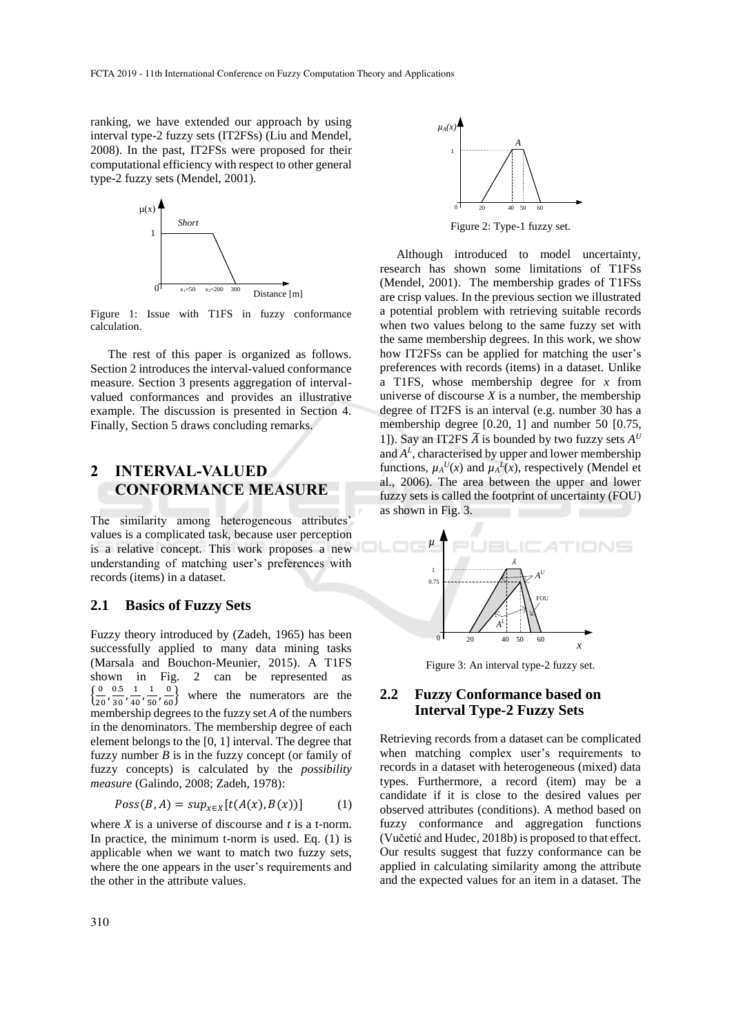ranking, we have extended our approach by using interval type-2 fuzzy sets (IT2FSs) (Liu and Mendel, 2008). In the past, IT2FSs were proposed for their computational efficiency with respect to other general type-2 fuzzy sets (Mendel, 2001).



Figure 1: Issue with T1FS in fuzzy conformance calculation.

The rest of this paper is organized as follows. Section 2 introduces the interval-valued conformance measure. Section 3 presents aggregation of intervalvalued conformances and provides an illustrative example. The discussion is presented in Section 4. Finally, Section 5 draws concluding remarks.

### **2 INTERVAL-VALUED CONFORMANCE MEASURE**

The similarity among heterogeneous attributes' values is a complicated task, because user perception is a relative concept. This work proposes a new understanding of matching user's preferences with records (items) in a dataset.

#### **2.1 Basics of Fuzzy Sets**

Fuzzy theory introduced by (Zadeh, 1965) has been successfully applied to many data mining tasks (Marsala and Bouchon-Meunier, 2015). A T1FS shown in Fig. 2 can be represented as  $\left\{\frac{0}{2}\right\}$  $\frac{0}{20}, \frac{0.5}{30}$  $\frac{0.5}{30}, \frac{1}{40}$  $\frac{1}{40}$ ,  $\frac{1}{50}$  $\frac{1}{50}$ ,  $\frac{0}{60}$ where the numerators are the membership degrees to the fuzzy set *A* of the numbers in the denominators. The membership degree of each element belongs to the [0, 1] interval. The degree that fuzzy number *B* is in the fuzzy concept (or family of fuzzy concepts) is calculated by the *possibility measure* (Galindo, 2008; Zadeh, 1978):

$$
Poss(B, A) = sup_{x \in X}[t(A(x), B(x))]
$$
 (1)

where *X* is a universe of discourse and *t* is a t-norm. In practice, the minimum t-norm is used. Eq. (1) is applicable when we want to match two fuzzy sets, where the one appears in the user's requirements and the other in the attribute values.



Figure 2: Type-1 fuzzy set.

Although introduced to model uncertainty, research has shown some limitations of T1FSs (Mendel, 2001). The membership grades of T1FSs are crisp values. In the previous section we illustrated a potential problem with retrieving suitable records when two values belong to the same fuzzy set with the same membership degrees. In this work, we show how IT2FSs can be applied for matching the user's preferences with records (items) in a dataset. Unlike a T1FS, whose membership degree for *x* from universe of discourse  $X$  is a number, the membership degree of IT2FS is an interval (e.g. number 30 has a membership degree [0.20, 1] and number 50 [0.75, 1]). Say an IT2FS  $\widetilde{A}$  is bounded by two fuzzy sets  $A^U$ and  $A<sup>L</sup>$ , characterised by upper and lower membership functions,  $\mu_A^U(x)$  and  $\mu_A^L(x)$ , respectively (Mendel et al., 2006). The area between the upper and lower fuzzy sets is called the footprint of uncertainty (FOU) as shown in Fig. 3.



Figure 3: An interval type-2 fuzzy set.

#### **2.2 Fuzzy Conformance based on Interval Type-2 Fuzzy Sets**

Retrieving records from a dataset can be complicated when matching complex user's requirements to records in a dataset with heterogeneous (mixed) data types. Furthermore, a record (item) may be a candidate if it is close to the desired values per observed attributes (conditions). A method based on fuzzy conformance and aggregation functions (Vučetić and Hudec, 2018b) is proposed to that effect. Our results suggest that fuzzy conformance can be applied in calculating similarity among the attribute and the expected values for an item in a dataset. The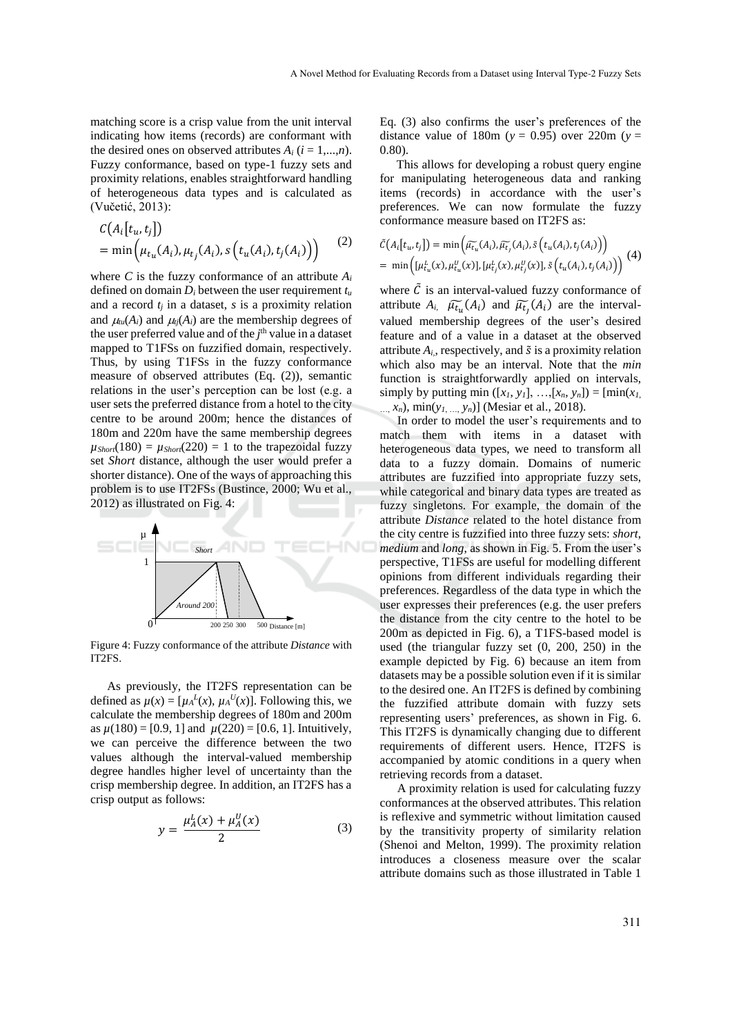matching score is a crisp value from the unit interval indicating how items (records) are conformant with the desired ones on observed attributes  $A_i$  ( $i = 1,...,n$ ). Fuzzy conformance, based on type-1 fuzzy sets and proximity relations, enables straightforward handling of heterogeneous data types and is calculated as (Vučetić, 2013):

$$
C(A_i[t_u, t_j])
$$
  
= min $\left(\mu_{t_u}(A_i), \mu_{t_j}(A_i), s\left(t_u(A_i), t_j(A_i)\right)\right)$  (2)

where *C* is the fuzzy conformance of an attribute  $A_i$ defined on domain  $D_i$  between the user requirement  $t_u$ and a record  $t_j$  in a dataset,  $s$  is a proximity relation and  $\mu_{\mu}$ (*A*<sub>*i*</sub>) and  $\mu_{\mu}$ (*A*<sub>*i*</sub>) are the membership degrees of the user preferred value and of the *j*<sup>th</sup> value in a dataset mapped to T1FSs on fuzzified domain, respectively. Thus, by using T1FSs in the fuzzy conformance measure of observed attributes (Eq. (2)), semantic relations in the user's perception can be lost (e.g. a user sets the preferred distance from a hotel to the city centre to be around 200m; hence the distances of 180m and 220m have the same membership degrees  $\mu_{Short}(180) = \mu_{Short}(220) = 1$  to the trapezoidal fuzzy set *Short* distance, although the user would prefer a shorter distance). One of the ways of approaching this problem is to use IT2FSs (Bustince, 2000; Wu et al., 2012) as illustrated on Fig. 4:



Figure 4: Fuzzy conformance of the attribute *Distance* with IT2FS.

As previously, the IT2FS representation can be defined as  $\mu(x) = [\mu_A^L(x), \mu_A^U(x)]$ . Following this, we calculate the membership degrees of 180m and 200m as  $\mu(180) = [0.9, 1]$  and  $\mu(220) = [0.6, 1]$ . Intuitively, we can perceive the difference between the two values although the interval-valued membership degree handles higher level of uncertainty than the crisp membership degree. In addition, an IT2FS has a crisp output as follows:

$$
y = \frac{\mu_A^L(x) + \mu_A^U(x)}{2}
$$
 (3)

Eq. (3) also confirms the user's preferences of the distance value of 180m ( $y = 0.95$ ) over 220m ( $y =$ 0.80).

This allows for developing a robust query engine for manipulating heterogeneous data and ranking items (records) in accordance with the user's preferences. We can now formulate the fuzzy conformance measure based on IT2FS as:

$$
\tilde{C}(A_i[t_u, t_j]) = \min\left(\widetilde{\mu_{t_u}}(A_i), \widetilde{\mu_{t_j}}(A_i), \widetilde{s}(t_u(A_i), t_j(A_i))\right)
$$
  
= 
$$
\min\left(\mu_{t_u}^L(x), \mu_{t_u}^U(x)\right), \mu_{t_j}^L(x), \mu_{t_j}^U(x)\right), \widetilde{s}(t_u(A_i), t_j(A_i))
$$
 (4)

where  $\tilde{C}$  is an interval-valued fuzzy conformance of attribute  $A_i$ ,  $\widetilde{\mu_{t_u}}(A_i)$  and  $\widetilde{\mu_{t_u}}(A_i)$  are the intervalvalued membership degrees of the user's desired feature and of a value in a dataset at the observed attribute  $A_i$ , respectively, and  $\tilde{s}$  is a proximity relation which also may be an interval. Note that the *min* function is straightforwardly applied on intervals, simply by putting min  $([x_1, y_1], \ldots, [x_n, y_n]) = [\min(x_1, y_1], \ldots, [x_n, y_n])$ …, *xn*), min(*y1*, …, *yn*)] (Mesiar et al., 2018).

In order to model the user's requirements and to match them with items in a dataset with heterogeneous data types, we need to transform all data to a fuzzy domain. Domains of numeric attributes are fuzzified into appropriate fuzzy sets, while categorical and binary data types are treated as fuzzy singletons. For example, the domain of the

attribute *Distance* related to the hotel distance from the city centre is fuzzified into three fuzzy sets: *short*, *medium* and *long*, as shown in Fig. 5. From the user's perspective, T1FSs are useful for modelling different opinions from different individuals regarding their preferences. Regardless of the data type in which the user expresses their preferences (e.g. the user prefers the distance from the city centre to the hotel to be 200m as depicted in Fig. 6), a T1FS-based model is used (the triangular fuzzy set (0, 200, 250) in the example depicted by Fig. 6) because an item from datasets may be a possible solution even if it is similar to the desired one. An IT2FS is defined by combining the fuzzified attribute domain with fuzzy sets representing users' preferences, as shown in Fig. 6. This IT2FS is dynamically changing due to different requirements of different users. Hence, IT2FS is accompanied by atomic conditions in a query when retrieving records from a dataset.

A proximity relation is used for calculating fuzzy conformances at the observed attributes. This relation is reflexive and symmetric without limitation caused by the transitivity property of similarity relation (Shenoi and Melton, 1999). The proximity relation introduces a closeness measure over the scalar attribute domains such as those illustrated in Table 1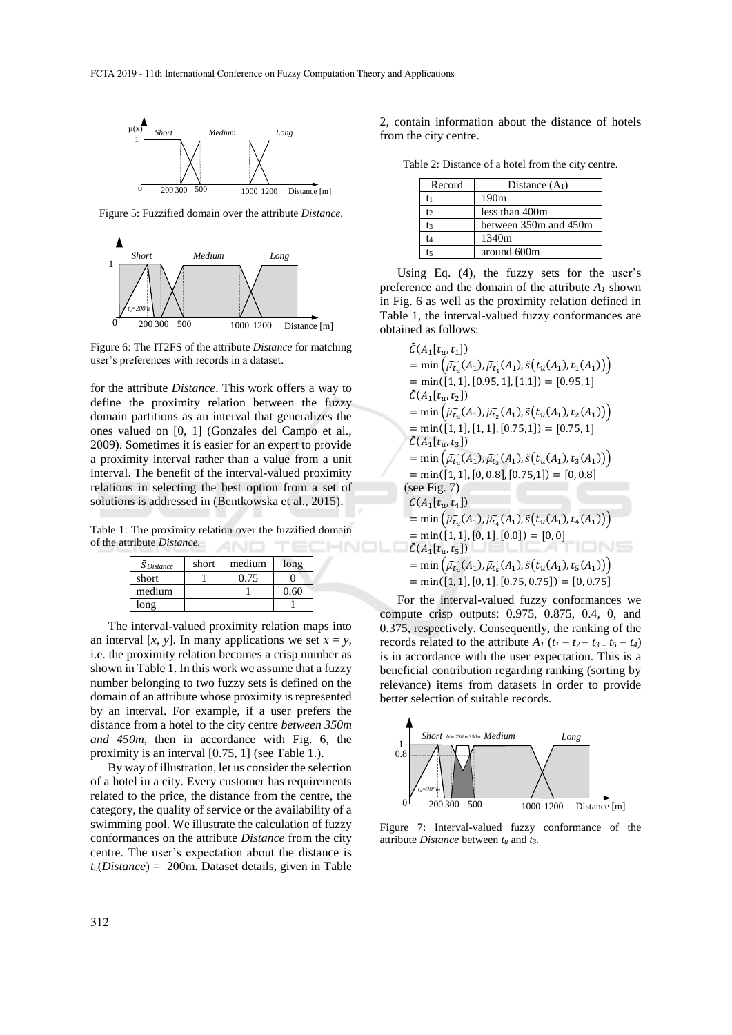

Figure 5: Fuzzified domain over the attribute *Distance.*



Figure 6: The IT2FS of the attribute *Distance* for matching user's preferences with records in a dataset.

for the attribute *Distance*. This work offers a way to define the proximity relation between the fuzzy domain partitions as an interval that generalizes the ones valued on [0, 1] (Gonzales del Campo et al., 2009). Sometimes it is easier for an expert to provide a proximity interval rather than a value from a unit interval. The benefit of the interval-valued proximity relations in selecting the best option from a set of solutions is addressed in (Bentkowska et al., 2015).

Table 1: The proximity relation over the fuzzified domain of the attribute *Distance.* HNOLO

| $\tilde{S}$ Distance | short | medium | long |
|----------------------|-------|--------|------|
| short                |       | 0.75   |      |
| medium               |       |        |      |
| $_{\text{ong}}$      |       |        |      |

The interval-valued proximity relation maps into an interval  $[x, y]$ . In many applications we set  $x = y$ , i.e. the proximity relation becomes a crisp number as shown in Table 1. In this work we assume that a fuzzy number belonging to two fuzzy sets is defined on the domain of an attribute whose proximity is represented by an interval. For example, if a user prefers the distance from a hotel to the city centre *between 350m and 450m*, then in accordance with Fig. 6, the proximity is an interval [0.75, 1] (see Table 1.).

By way of illustration, let us consider the selection of a hotel in a city. Every customer has requirements related to the price, the distance from the centre, the category, the quality of service or the availability of a swimming pool. We illustrate the calculation of fuzzy conformances on the attribute *Distance* from the city centre. The user's expectation about the distance is *tu*(*Distance*) = 200m. Dataset details, given in Table 2, contain information about the distance of hotels from the city centre.

Table 2: Distance of a hotel from the city centre.

| Record | Distance $(A1)$       |  |  |
|--------|-----------------------|--|--|
| Ē1     | 190m                  |  |  |
| t٥     | less than 400m        |  |  |
| t٤     | between 350m and 450m |  |  |
| Ì4     | 1340m                 |  |  |
| Ì5     | around 600m           |  |  |

Using Eq. (4), the fuzzy sets for the user's preference and the domain of the attribute  $A_I$  shown in Fig. 6 as well as the proximity relation defined in Table 1, the interval-valued fuzzy conformances are obtained as follows:

$$
\tilde{C}(A_1[t_u, t_1])
$$
\n
$$
= \min (\tilde{\mu}_{t_u}(A_1), \tilde{\mu}_{t_1}(A_1), \tilde{s}(t_u(A_1), t_1(A_1)))
$$
\n
$$
= \min([1, 1], [0.95, 1], [1, 1]) = [0.95, 1]
$$
\n
$$
\tilde{C}(A_1[t_u, t_2])
$$
\n
$$
= \min (\tilde{\mu}_{t_u}(A_1), \tilde{\mu}_{t_2}(A_1), \tilde{s}(t_u(A_1), t_2(A_1)))
$$
\n
$$
= \min([1, 1], [1, 1], [0.75, 1]) = [0.75, 1]
$$
\n
$$
\tilde{C}(A_1[t_u, t_3])
$$
\n
$$
= \min (\tilde{\mu}_{t_u}(A_1), \tilde{\mu}_{t_3}(A_1), \tilde{s}(t_u(A_1), t_3(A_1)))
$$
\n
$$
= \min([1, 1], [0, 0.8], [0.75, 1]) = [0, 0.8]
$$
\n(see Fig. 7)\n
$$
\tilde{C}(A_1[t_u, t_4])
$$
\n
$$
= \min (\tilde{\mu}_{t_u}(A_1), \tilde{\mu}_{t_4}(A_1), \tilde{s}(t_u(A_1), t_4(A_1)))
$$
\n
$$
= \min([1, 1], [0, 1], [0, 0]) = [0, 0]
$$
\n
$$
\tilde{C}(A_1[t_u, t_5])
$$
\n
$$
= \min (\tilde{\mu}_{t_u}(A_1), \tilde{\mu}_{t_s}(A_1), \tilde{s}(t_u(A_1), t_5(A_1)))
$$
\n
$$
= \min([1, 1], [0, 1], [0.75, 0.75]) = [0, 0.75]
$$

For the interval-valued fuzzy conformances we compute crisp outputs: 0.975, 0.875, 0.4, 0, and 0.375, respectively. Consequently, the ranking of the records related to the attribute  $A_1$  ( $t_1 - t_2 - t_3 - t_5 - t_4$ ) is in accordance with the user expectation. This is a beneficial contribution regarding ranking (sorting by relevance) items from datasets in order to provide better selection of suitable records.



Figure 7: Interval-valued fuzzy conformance of the attribute *Distance* between *t<sup>u</sup>* and *t3.*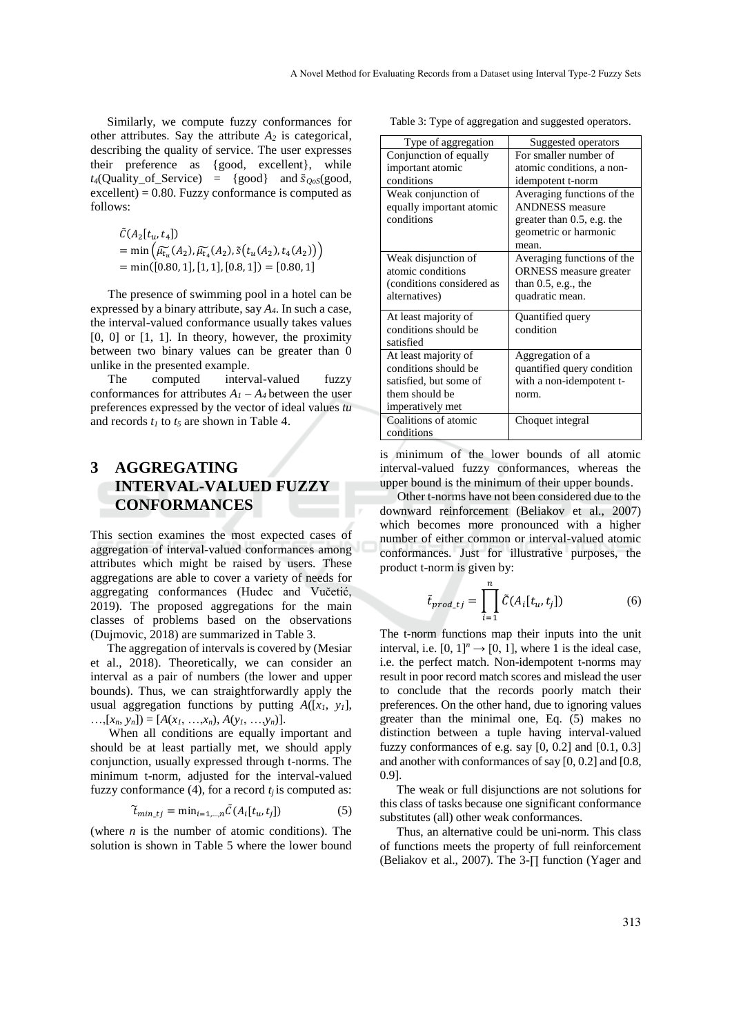Similarly, we compute fuzzy conformances for other attributes. Say the attribute *A<sup>2</sup>* is categorical, describing the quality of service. The user expresses their preference as {good, excellent}, while  $t_4$ (Quality of Service) = {good} and  $\tilde{S}_{\text{cos}}$ (good,  $\alpha$  excellent) = 0.80. Fuzzy conformance is computed as follows:

$$
\tilde{C}(A_2[t_u, t_4])
$$
\n
$$
= \min \left( \widetilde{\mu_{t_u}}(A_2), \widetilde{\mu_{t_a}}(A_2), \widetilde{s}(t_u(A_2), t_4(A_2)) \right)
$$
\n
$$
= \min([0.80, 1], [1, 1], [0.8, 1]) = [0.80, 1]
$$

The presence of swimming pool in a hotel can be expressed by a binary attribute, say *A4*. In such a case, the interval-valued conformance usually takes values  $[0, 0]$  or  $[1, 1]$ . In theory, however, the proximity between two binary values can be greater than 0 unlike in the presented example.

The computed interval-valued fuzzy conformances for attributes  $A_1 - A_4$  between the user preferences expressed by the vector of ideal values *tu* and records *t<sup>1</sup>* to *t<sup>5</sup>* are shown in Table 4.

## **3 AGGREGATING INTERVAL-VALUED FUZZY CONFORMANCES**

This section examines the most expected cases of aggregation of interval-valued conformances among attributes which might be raised by users. These aggregations are able to cover a variety of needs for aggregating conformances (Hudec and Vučetić, 2019). The proposed aggregations for the main classes of problems based on the observations (Dujmovic, 2018) are summarized in Table 3.

The aggregation of intervals is covered by (Mesiar et al., 2018). Theoretically, we can consider an interval as a pair of numbers (the lower and upper bounds). Thus, we can straightforwardly apply the usual aggregation functions by putting *A*([*x1*, *y1*],  $\ldots$ ,  $[x_n, y_n]$  =  $[A(x_1, \ldots, x_n), A(y_1, \ldots, y_n)].$ 

When all conditions are equally important and should be at least partially met, we should apply conjunction, usually expressed through t-norms. The minimum t-norm, adjusted for the interval-valued fuzzy conformance (4), for a record  $t_i$  is computed as:

$$
\widetilde{t}_{\min\_tj} = \min_{i=1,\dots,n} \widetilde{C}(A_i[t_u, t_j])
$$
\n(5)

(where  $n$  is the number of atomic conditions). The solution is shown in Table 5 where the lower bound

Table 3: Type of aggregation and suggested operators.

| Type of aggregation       | Suggested operators           |
|---------------------------|-------------------------------|
| Conjunction of equally    | For smaller number of         |
| important atomic          | atomic conditions, a non-     |
| conditions                | idempotent t-norm             |
| Weak conjunction of       | Averaging functions of the    |
| equally important atomic  | <b>ANDNESS</b> measure        |
| conditions                | greater than $0.5$ , e.g. the |
|                           | geometric or harmonic         |
|                           | mean.                         |
| Weak disjunction of       | Averaging functions of the    |
| atomic conditions         | <b>ORNESS</b> measure greater |
| (conditions considered as | than $0.5$ , e.g., the        |
| alternatives)             | quadratic mean.               |
| At least majority of      | Quantified query              |
| conditions should be      | condition                     |
| satisfied                 |                               |
| At least majority of      | Aggregation of a              |
| conditions should be      | quantified query condition    |
| satisfied, but some of    | with a non-idempotent t-      |
| them should be            | norm.                         |
| imperatively met          |                               |
| Coalitions of atomic      | Choquet integral              |
| conditions                |                               |

is minimum of the lower bounds of all atomic interval-valued fuzzy conformances, whereas the upper bound is the minimum of their upper bounds.

Other t-norms have not been considered due to the downward reinforcement (Beliakov et al., 2007) which becomes more pronounced with a higher number of either common or interval-valued atomic conformances. Just for illustrative purposes, the product t-norm is given by:

$$
\tilde{t}_{prod\_tj} = \prod_{i=1}^{n} \tilde{C}(A_i[t_u, t_j])
$$
\n(6)

The t-norm functions map their inputs into the unit interval, i.e.  $[0, 1]^n \rightarrow [0, 1]$ , where 1 is the ideal case, i.e. the perfect match. Non-idempotent t-norms may result in poor record match scores and mislead the user to conclude that the records poorly match their preferences. On the other hand, due to ignoring values greater than the minimal one, Eq. (5) makes no distinction between a tuple having interval-valued fuzzy conformances of e.g. say  $[0, 0.2]$  and  $[0.1, 0.3]$ and another with conformances of say [0, 0.2] and [0.8, 0.9].

The weak or full disjunctions are not solutions for this class of tasks because one significant conformance substitutes (all) other weak conformances.

Thus, an alternative could be uni-norm. This class of functions meets the property of full reinforcement (Beliakov et al., 2007). The 3-∏ function (Yager and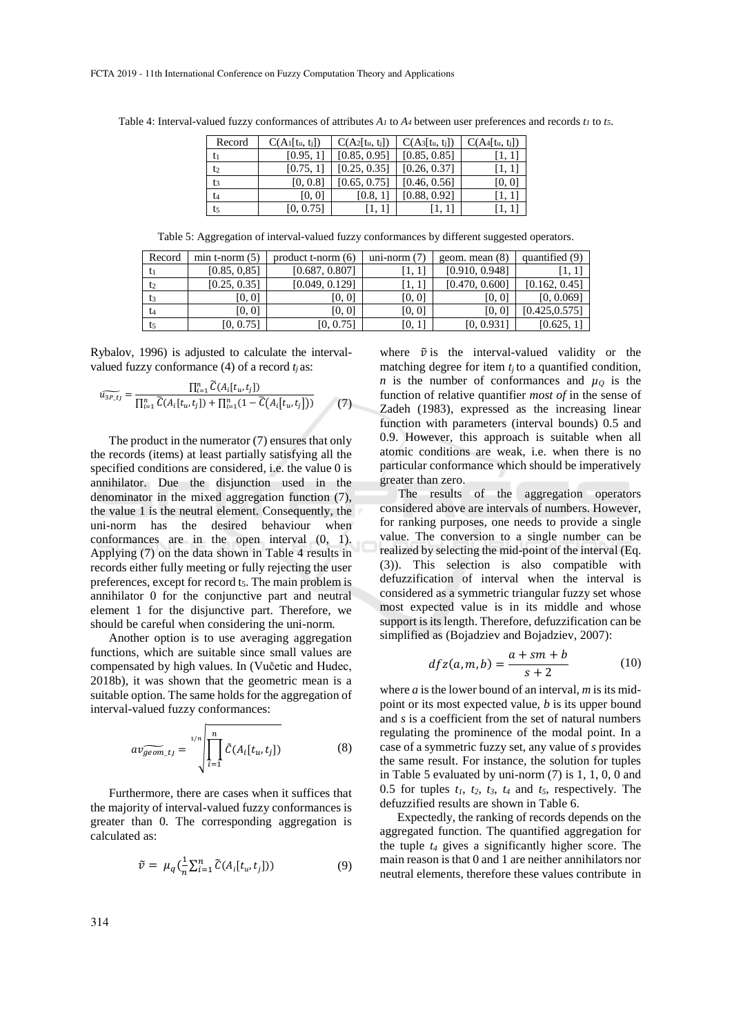| Record         | $C(A_1[t_u, t_j])$ | $C(A_2[t_u, t_j])$ | $C(A_3[t_u, t_j])$ | $C(A_4[t_u, t_i])$ |
|----------------|--------------------|--------------------|--------------------|--------------------|
| tı             | [0.95, 1]          | [0.85, 0.95]       | [0.85, 0.85]       | [1, 1]             |
| t <sub>2</sub> | [0.75, 1]          | [0.25, 0.35]       | [0.26, 0.37]       | 11, 11             |
| t <sub>3</sub> | [0, 0.8]           | [0.65, 0.75]       | [0.46, 0.56]       | [0, 0]             |
| t <sub>4</sub> | [0, 0]             | [0.8, 1]           | [0.88, 0.92]       | [1, 1]             |
| t <sub>5</sub> | [0, 0.75]          | П.                 | 1. I               | [1. 1]             |

Table 4: Interval-valued fuzzy conformances of attributes *A<sup>1</sup>* to *A<sup>4</sup>* between user preferences and records *t<sup>1</sup>* to *t5*.

Table 5: Aggregation of interval-valued fuzzy conformances by different suggested operators.

| Record | $min t-norm(5)$ | product $t$ -norm $(6)$ | uni-norm $(7)$ | geom. mean $(8)$ | quantified (9) |
|--------|-----------------|-------------------------|----------------|------------------|----------------|
| t1     | [0.85, 0.85]    | [0.687, 0.807]          | '1, 11         | [0.910, 0.948]   | [1, 1]         |
| t2     | [0.25, 0.35]    | [0.049, 0.129]          | 1, 11          | [0.470, 0.600]   | [0.162, 0.45]  |
| t3     | [0, 0]          | [0, 0]                  | [0, 0]         | [0, 0]           | [0, 0.069]     |
| t4     | [0, 0]          | [0, 0]                  | [0, 0]         | [0, 0]           | [0.425, 0.575] |
| t5     | [0, 0.75]       | [0, 0.75]               | [0, 1]         | [0, 0.931]       | [0.625, 1]     |

Rybalov, 1996) is adjusted to calculate the intervalvalued fuzzy conformance (4) of a record  $t_i$  as:

$$
\widetilde{u_{3P_{.}t_{J}}} = \frac{\prod_{i=1}^{n} \widetilde{C}(A_{i}[t_{u}, t_{j}])}{\prod_{i=1}^{n} \widetilde{C}(A_{i}[t_{u}, t_{j}]) + \prod_{i=1}^{n} (1 - \widetilde{C}(A_{i}[t_{u}, t_{j}]))}
$$
(7)

The product in the numerator (7) ensures that only the records (items) at least partially satisfying all the specified conditions are considered, i.e. the value 0 is annihilator. Due the disjunction used in the denominator in the mixed aggregation function (7), the value 1 is the neutral element. Consequently, the uni-norm has the desired behaviour when conformances are in the open interval (0, 1). Applying (7) on the data shown in Table 4 results in records either fully meeting or fully rejecting the user preferences, except for record  $t<sub>5</sub>$ . The main problem is annihilator 0 for the conjunctive part and neutral element 1 for the disjunctive part. Therefore, we should be careful when considering the uni-norm.

Another option is to use averaging aggregation functions, which are suitable since small values are compensated by high values. In (Vučetic and Hudec, 2018b), it was shown that the geometric mean is a suitable option. The same holds for the aggregation of interval-valued fuzzy conformances:

$$
av_{geom_t} = \sqrt[1/n]{\prod_{i=1}^n \tilde{C}(A_i[t_u, t_j])}
$$
 (8)

Furthermore, there are cases when it suffices that the majority of interval-valued fuzzy conformances is greater than 0. The corresponding aggregation is calculated as:

$$
\tilde{v} = \mu_q(\frac{1}{n}\sum_{i=1}^n \tilde{C}(A_i[t_u, t_j])) \tag{9}
$$

where  $\tilde{v}$  is the interval-valued validity or the matching degree for item  $t_j$  to a quantified condition, *n* is the number of conformances and  $\mu_0$  is the function of relative quantifier *most of* in the sense of Zadeh (1983), expressed as the increasing linear function with parameters (interval bounds) 0.5 and 0.9. However, this approach is suitable when all atomic conditions are weak, i.e. when there is no particular conformance which should be imperatively greater than zero.

The results of the aggregation operators considered above are intervals of numbers. However, for ranking purposes, one needs to provide a single value. The conversion to a single number can be realized by selecting the mid-point of the interval (Eq. (3)). This selection is also compatible with defuzzification of interval when the interval is considered as a symmetric triangular fuzzy set whose most expected value is in its middle and whose support is its length. Therefore, defuzzification can be simplified as (Bojadziev and Bojadziev, 2007):

$$
dfz(a,m,b) = \frac{a+sm+b}{s+2} \tag{10}
$$

where *a* is the lower bound of an interval, *m* is its midpoint or its most expected value, *b* is its upper bound and *s* is a coefficient from the set of natural numbers regulating the prominence of the modal point. In a case of a symmetric fuzzy set, any value of *s* provides the same result. For instance, the solution for tuples in Table 5 evaluated by uni-norm (7) is 1, 1, 0, 0 and 0.5 for tuples  $t_1$ ,  $t_2$ ,  $t_3$ ,  $t_4$  and  $t_5$ , respectively. The defuzzified results are shown in Table 6.

Expectedly, the ranking of records depends on the aggregated function. The quantified aggregation for the tuple *t<sup>4</sup>* gives a significantly higher score. The main reason is that 0 and 1 are neither annihilators nor neutral elements, therefore these values contribute in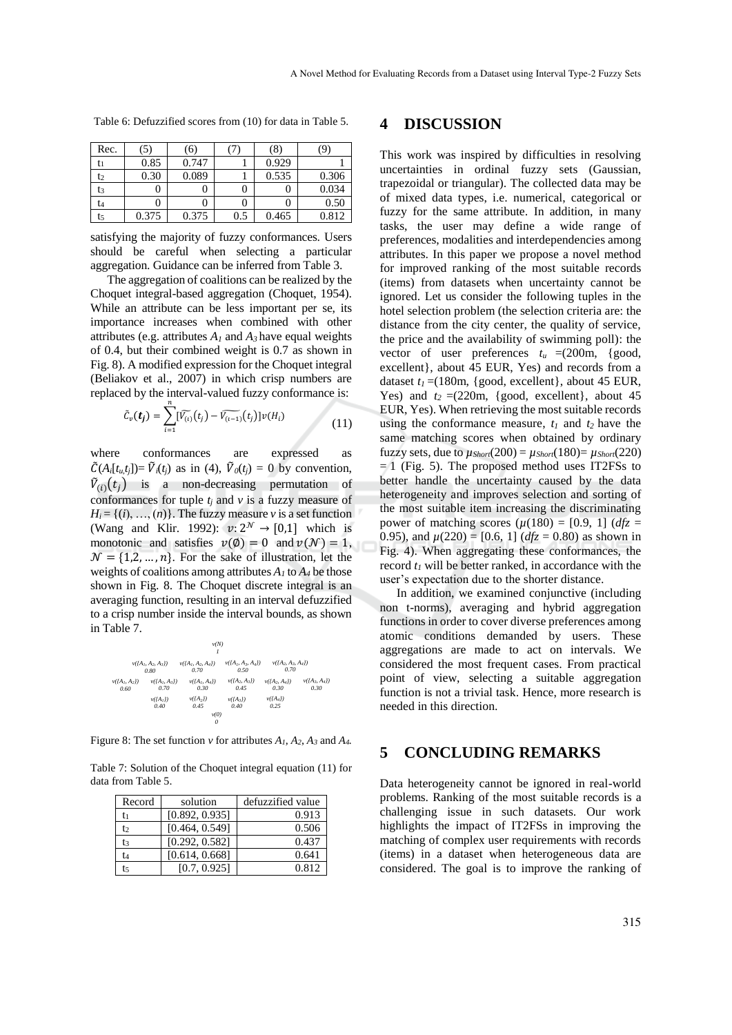| Rec. | (5)   | (6)   |     | (8)   |       |
|------|-------|-------|-----|-------|-------|
| tı   | 0.85  | 0.747 |     | 0.929 |       |
| t2   | 0.30  | 0.089 |     | 0.535 | 0.306 |
| t3   |       |       |     |       | 0.034 |
| t4   |       |       |     |       | 0.50  |
| t5   | 0.375 | 0.375 | 0.5 | 0.465 | 0.812 |

Table 6: Defuzzified scores from (10) for data in Table 5.

satisfying the majority of fuzzy conformances. Users should be careful when selecting a particular aggregation. Guidance can be inferred from Table 3.

The aggregation of coalitions can be realized by the Choquet integral-based aggregation (Choquet, 1954). While an attribute can be less important per se, its importance increases when combined with other attributes (e.g. attributes *A<sup>1</sup>* and *A3* have equal weights of 0.4, but their combined weight is 0.7 as shown in Fig. 8). A modified expression for the Choquet integral (Beliakov et al., 2007) in which crisp numbers are replaced by the interval-valued fuzzy conformance is:

$$
\tilde{C}_{\nu}(\bm{t}_{j}) = \sum_{i=1}^{n} [\widetilde{V_{(i)}}(t_{j}) - \widetilde{V_{(i-1)}}(t_{j})] \nu(H_{i})
$$
\n(11)

where conformances are expressed as  $\tilde{C}(A_i[t_{u,t_i}]) = \tilde{V}_i(t_i)$  as in (4),  $\tilde{V}_i(t_i) = 0$  by convention,  $\tilde{V}_{(i)}(t_j)$  is a non-decreasing permutation of conformances for tuple  $t_i$  and  $v$  is a fuzzy measure of  $H_i = \{(i), ..., (n)\}\$ . The fuzzy measure *v* is a set function (Wang and Klir. 1992):  $v: 2^{\mathcal{N}} \rightarrow [0,1]$  which is monotonic and satisfies  $v(\emptyset) = 0$  and  $v(\mathcal{N}) = 1$ ,  $\mathcal{N} = \{1, 2, ..., n\}$ . For the sake of illustration, let the weights of coalitions among attributes  $A_I$  to  $A_4$  be those shown in Fig. 8. The Choquet discrete integral is an averaging function, resulting in an interval defuzzified to a crisp number inside the interval bounds, as shown in Table 7.



Figure 8: The set function  $\nu$  for attributes  $A_1$ ,  $A_2$ ,  $A_3$  and  $A_4$ .

Table 7: Solution of the Choquet integral equation (11) for data from Table 5.

| Record | solution       | defuzzified value |
|--------|----------------|-------------------|
| tı     | [0.892, 0.935] | 0.913             |
| t٥     | [0.464, 0.549] | 0.506             |
| t3     | [0.292, 0.582] | 0.437             |
| t4     | [0.614, 0.668] | 0.641             |
| t٢     | [0.7, 0.925]   | 0.812             |

#### **4 DISCUSSION**

This work was inspired by difficulties in resolving uncertainties in ordinal fuzzy sets (Gaussian, trapezoidal or triangular). The collected data may be of mixed data types, i.e. numerical, categorical or fuzzy for the same attribute. In addition, in many tasks, the user may define a wide range of preferences, modalities and interdependencies among attributes. In this paper we propose a novel method for improved ranking of the most suitable records (items) from datasets when uncertainty cannot be ignored. Let us consider the following tuples in the hotel selection problem (the selection criteria are: the distance from the city center, the quality of service, the price and the availability of swimming poll): the vector of user preferences  $t_u = (200 \text{m}, \{good,$ excellent}, about 45 EUR, Yes) and records from a dataset  $t_1$  =(180m, {good, excellent}, about 45 EUR, Yes) and  $t_2 = (220m, \{good, excellent\},$  about  $45$ EUR, Yes). When retrieving the most suitable records using the conformance measure,  $t_1$  and  $t_2$  have the same matching scores when obtained by ordinary fuzzy sets, due to  $\mu_{Short}(200) = \mu_{Short}(180) = \mu_{Short}(220)$  $= 1$  (Fig. 5). The proposed method uses IT2FSs to better handle the uncertainty caused by the data heterogeneity and improves selection and sorting of the most suitable item increasing the discriminating power of matching scores  $(\mu(180) = [0.9, 1]$  (*dfz* = 0.95), and  $\mu(220) = [0.6, 1]$  ( $dfz = 0.80$ ) as shown in Fig. 4). When aggregating these conformances, the record  $t_I$  will be better ranked, in accordance with the user's expectation due to the shorter distance.

In addition, we examined conjunctive (including non t-norms), averaging and hybrid aggregation functions in order to cover diverse preferences among atomic conditions demanded by users. These aggregations are made to act on intervals. We considered the most frequent cases. From practical point of view, selecting a suitable aggregation function is not a trivial task. Hence, more research is needed in this direction.

### **5 CONCLUDING REMARKS**

Data heterogeneity cannot be ignored in real-world problems. Ranking of the most suitable records is a challenging issue in such datasets. Our work highlights the impact of IT2FSs in improving the matching of complex user requirements with records (items) in a dataset when heterogeneous data are considered. The goal is to improve the ranking of